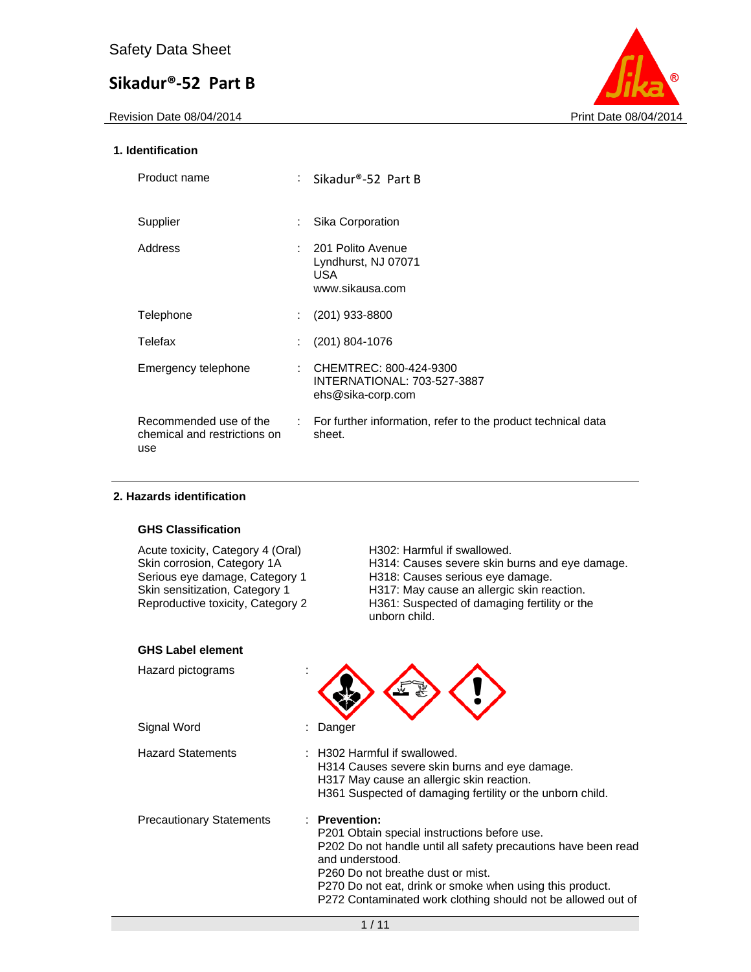

#### **1. Identification**

| Product name                                                  | : Sikadur®-52 Part B                                                       |
|---------------------------------------------------------------|----------------------------------------------------------------------------|
| Supplier                                                      | Sika Corporation                                                           |
| Address                                                       | : 201 Polito Avenue<br>Lyndhurst, NJ 07071<br>USA.<br>www.sikausa.com      |
| Telephone                                                     | $(201)$ 933-8800                                                           |
| Telefax                                                       | $(201)$ 804-1076                                                           |
| Emergency telephone                                           | CHEMTREC: 800-424-9300<br>INTERNATIONAL: 703-527-3887<br>ehs@sika-corp.com |
| Recommended use of the<br>chemical and restrictions on<br>use | : For further information, refer to the product technical data<br>sheet.   |

#### **2. Hazards identification**

#### **GHS Classification**

| Acute toxicity, Category 4 (Oral)<br>Skin corrosion, Category 1A<br>Serious eye damage, Category 1<br>Skin sensitization, Category 1<br>Reproductive toxicity, Category 2 | H <sub>302</sub> : Harmful if swallowed.<br>H314: Causes severe skin burns and eye damage.<br>H318: Causes serious eye damage.<br>H317: May cause an allergic skin reaction.<br>H361: Suspected of damaging fertility or the<br>unborn child.                                                                                   |
|---------------------------------------------------------------------------------------------------------------------------------------------------------------------------|---------------------------------------------------------------------------------------------------------------------------------------------------------------------------------------------------------------------------------------------------------------------------------------------------------------------------------|
| <b>GHS Label element</b>                                                                                                                                                  |                                                                                                                                                                                                                                                                                                                                 |
| Hazard pictograms                                                                                                                                                         |                                                                                                                                                                                                                                                                                                                                 |
| Signal Word                                                                                                                                                               | Danger                                                                                                                                                                                                                                                                                                                          |
| <b>Hazard Statements</b>                                                                                                                                                  | $\pm$ H302 Harmful if swallowed.<br>H314 Causes severe skin burns and eye damage.<br>H317 May cause an allergic skin reaction.<br>H361 Suspected of damaging fertility or the unborn child.                                                                                                                                     |
| <b>Precautionary Statements</b>                                                                                                                                           | : Prevention:<br>P201 Obtain special instructions before use.<br>P202 Do not handle until all safety precautions have been read<br>and understood.<br>P <sub>260</sub> Do not breathe dust or mist.<br>P270 Do not eat, drink or smoke when using this product.<br>P272 Contaminated work clothing should not be allowed out of |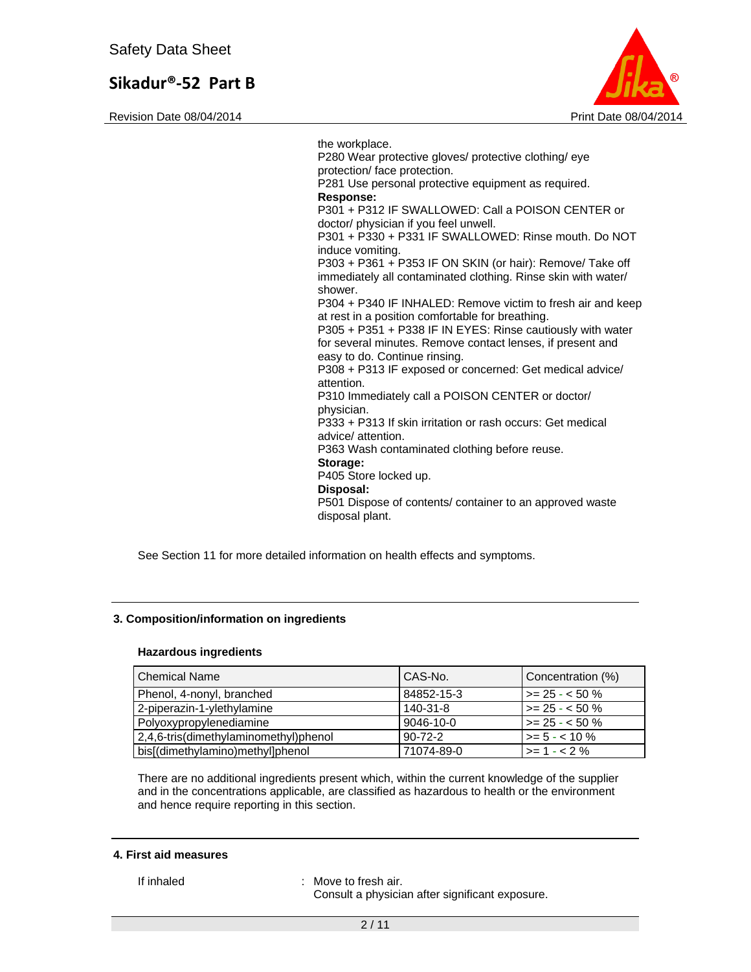Revision Date 08/04/2014 **Print Date 08/04/2014** Print Date 08/04/2014



the workplace. P280 Wear protective gloves/ protective clothing/ eye protection/ face protection. P281 Use personal protective equipment as required. **Response:**  P301 + P312 IF SWALLOWED: Call a POISON CENTER or doctor/ physician if you feel unwell. P301 + P330 + P331 IF SWALLOWED: Rinse mouth. Do NOT induce vomiting. P303 + P361 + P353 IF ON SKIN (or hair): Remove/ Take off immediately all contaminated clothing. Rinse skin with water/ shower. P304 + P340 IF INHALED: Remove victim to fresh air and keep at rest in a position comfortable for breathing. P305 + P351 + P338 IF IN EYES: Rinse cautiously with water for several minutes. Remove contact lenses, if present and easy to do. Continue rinsing. P308 + P313 IF exposed or concerned: Get medical advice/ attention. P310 Immediately call a POISON CENTER or doctor/ physician. P333 + P313 If skin irritation or rash occurs: Get medical advice/ attention. P363 Wash contaminated clothing before reuse. **Storage:**  P405 Store locked up. **Disposal:**  P501 Dispose of contents/ container to an approved waste disposal plant.

See Section 11 for more detailed information on health effects and symptoms.

#### **3. Composition/information on ingredients**

#### **Hazardous ingredients**

| <b>Chemical Name</b>                  | CAS-No.         | Concentration (%)      |
|---------------------------------------|-----------------|------------------------|
| Phenol, 4-nonyl, branched             | 84852-15-3      | $\vert$ >= 25 - < 50 % |
| 2-piperazin-1-ylethylamine            | 140-31-8        | $\vert$ >= 25 - < 50 % |
| Polyoxypropylenediamine               | $9046 - 10 - 0$ | $\vert$ >= 25 - < 50 % |
| 2,4,6-tris(dimethylaminomethyl)phenol | $90 - 72 - 2$   | $\vert$ >= 5 - < 10 %  |
| bis[(dimethylamino)methyl]phenol      | 71074-89-0      | $\geq$ 1 - < 2 %       |

There are no additional ingredients present which, within the current knowledge of the supplier and in the concentrations applicable, are classified as hazardous to health or the environment and hence require reporting in this section.

#### **4. First aid measures**

If inhaled : Move to fresh air.

Consult a physician after significant exposure.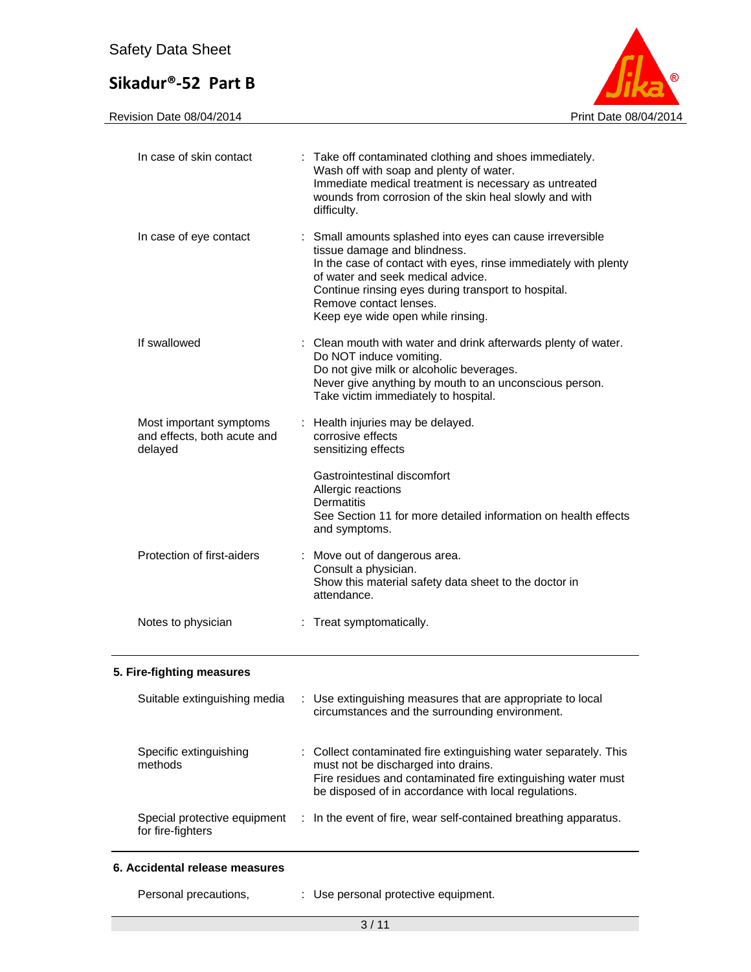Revision Date 08/04/2014 **Print Date 08/04/2014** 



| In case of skin contact                                           | : Take off contaminated clothing and shoes immediately.<br>Wash off with soap and plenty of water.<br>Immediate medical treatment is necessary as untreated<br>wounds from corrosion of the skin heal slowly and with<br>difficulty.                                                                                    |
|-------------------------------------------------------------------|-------------------------------------------------------------------------------------------------------------------------------------------------------------------------------------------------------------------------------------------------------------------------------------------------------------------------|
| In case of eye contact                                            | : Small amounts splashed into eyes can cause irreversible<br>tissue damage and blindness.<br>In the case of contact with eyes, rinse immediately with plenty<br>of water and seek medical advice.<br>Continue rinsing eyes during transport to hospital.<br>Remove contact lenses.<br>Keep eye wide open while rinsing. |
| If swallowed                                                      | Clean mouth with water and drink afterwards plenty of water.<br>Do NOT induce vomiting.<br>Do not give milk or alcoholic beverages.<br>Never give anything by mouth to an unconscious person.<br>Take victim immediately to hospital.                                                                                   |
| Most important symptoms<br>and effects, both acute and<br>delayed | : Health injuries may be delayed.<br>corrosive effects<br>sensitizing effects                                                                                                                                                                                                                                           |
|                                                                   | Gastrointestinal discomfort<br>Allergic reactions<br>Dermatitis<br>See Section 11 for more detailed information on health effects<br>and symptoms.                                                                                                                                                                      |
| Protection of first-aiders                                        | : Move out of dangerous area.<br>Consult a physician.<br>Show this material safety data sheet to the doctor in<br>attendance.                                                                                                                                                                                           |
| Notes to physician                                                | : Treat symptomatically.                                                                                                                                                                                                                                                                                                |

#### **5. Fire-fighting measures**

| Suitable extinguishing media                      | : Use extinguishing measures that are appropriate to local<br>circumstances and the surrounding environment.                                                                                                                    |
|---------------------------------------------------|---------------------------------------------------------------------------------------------------------------------------------------------------------------------------------------------------------------------------------|
| Specific extinguishing<br>methods                 | : Collect contaminated fire extinguishing water separately. This<br>must not be discharged into drains.<br>Fire residues and contaminated fire extinguishing water must<br>be disposed of in accordance with local regulations. |
| Special protective equipment<br>for fire-fighters | : In the event of fire, wear self-contained breathing apparatus.                                                                                                                                                                |

#### **6. Accidental release measures**

s, The Suitse personal protective equipment.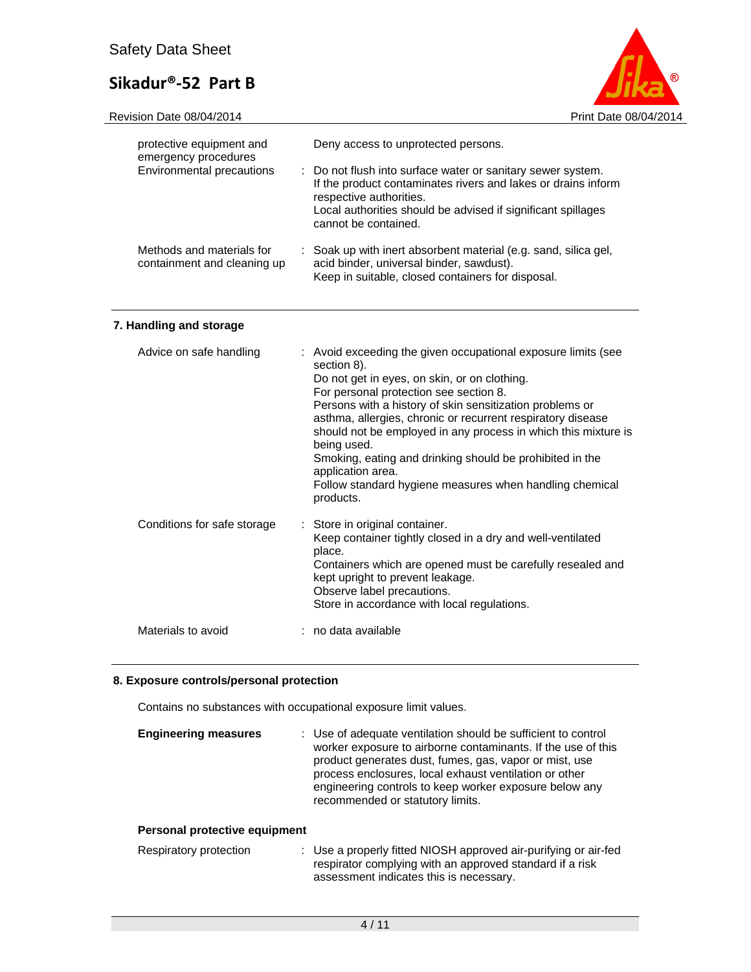

|  | Revision Date 08/04/2014 |
|--|--------------------------|
|  |                          |

| protective equipment and<br>emergency procedures<br>Environmental precautions | Deny access to unprotected persons.<br>: Do not flush into surface water or sanitary sewer system.<br>If the product contaminates rivers and lakes or drains inform<br>respective authorities.<br>Local authorities should be advised if significant spillages<br>cannot be contained. |
|-------------------------------------------------------------------------------|----------------------------------------------------------------------------------------------------------------------------------------------------------------------------------------------------------------------------------------------------------------------------------------|
| Methods and materials for<br>containment and cleaning up                      | : Soak up with inert absorbent material (e.g. sand, silica gel,<br>acid binder, universal binder, sawdust).<br>Keep in suitable, closed containers for disposal.                                                                                                                       |

#### **7. Handling and storage**

| Advice on safe handling     | : Avoid exceeding the given occupational exposure limits (see<br>section 8).<br>Do not get in eyes, on skin, or on clothing.<br>For personal protection see section 8.<br>Persons with a history of skin sensitization problems or<br>asthma, allergies, chronic or recurrent respiratory disease<br>should not be employed in any process in which this mixture is<br>being used.<br>Smoking, eating and drinking should be prohibited in the<br>application area.<br>Follow standard hygiene measures when handling chemical<br>products. |
|-----------------------------|---------------------------------------------------------------------------------------------------------------------------------------------------------------------------------------------------------------------------------------------------------------------------------------------------------------------------------------------------------------------------------------------------------------------------------------------------------------------------------------------------------------------------------------------|
| Conditions for safe storage | : Store in original container.<br>Keep container tightly closed in a dry and well-ventilated<br>place.<br>Containers which are opened must be carefully resealed and<br>kept upright to prevent leakage.<br>Observe label precautions.<br>Store in accordance with local regulations.                                                                                                                                                                                                                                                       |
| Materials to avoid          | : no data available                                                                                                                                                                                                                                                                                                                                                                                                                                                                                                                         |

#### **8. Exposure controls/personal protection**

Contains no substances with occupational exposure limit values.

| <b>Engineering measures</b>   | : Use of adequate ventilation should be sufficient to control<br>worker exposure to airborne contaminants. If the use of this<br>product generates dust, fumes, gas, vapor or mist, use<br>process enclosures, local exhaust ventilation or other<br>engineering controls to keep worker exposure below any<br>recommended or statutory limits. |
|-------------------------------|-------------------------------------------------------------------------------------------------------------------------------------------------------------------------------------------------------------------------------------------------------------------------------------------------------------------------------------------------|
| Personal protective equipment |                                                                                                                                                                                                                                                                                                                                                 |
| Respiratory protection        | : Use a properly fitted NIOSH approved air-purifying or air-fed<br>respirator complying with an approved standard if a risk<br>assessment indicates this is necessary.                                                                                                                                                                          |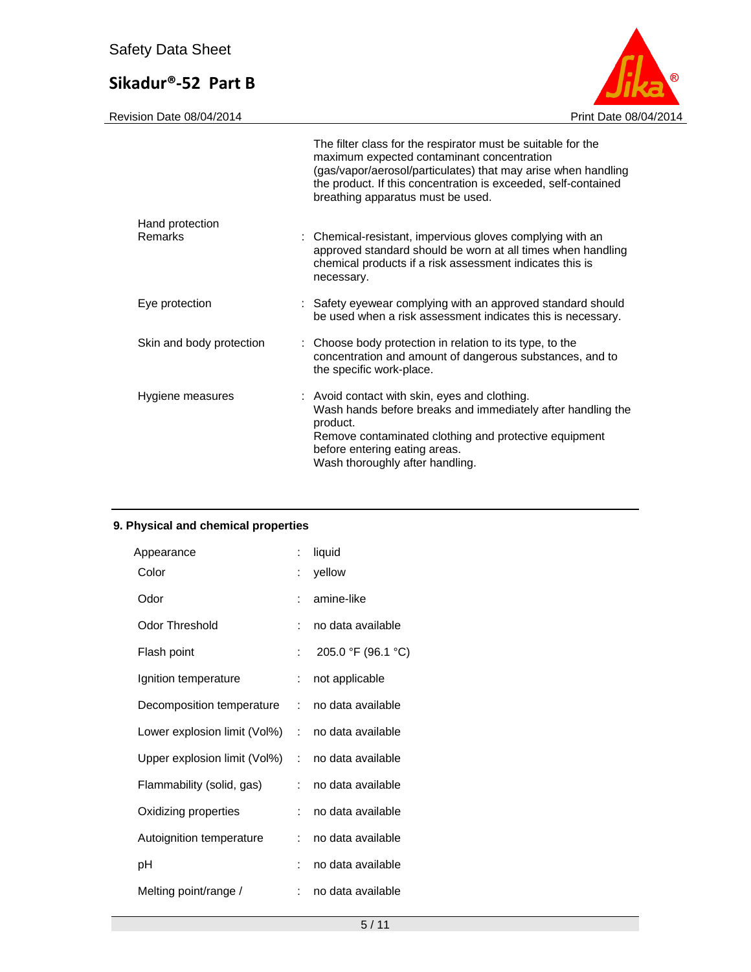Revision Date 08/04/2014 Print Date 08/04/2014

|                            | The filter class for the respirator must be suitable for the<br>maximum expected contaminant concentration<br>(gas/vapor/aerosol/particulates) that may arise when handling<br>the product. If this concentration is exceeded, self-contained<br>breathing apparatus must be used. |
|----------------------------|------------------------------------------------------------------------------------------------------------------------------------------------------------------------------------------------------------------------------------------------------------------------------------|
| Hand protection<br>Remarks | : Chemical-resistant, impervious gloves complying with an<br>approved standard should be worn at all times when handling<br>chemical products if a risk assessment indicates this is<br>necessary.                                                                                 |
| Eye protection             | : Safety eyewear complying with an approved standard should<br>be used when a risk assessment indicates this is necessary.                                                                                                                                                         |
| Skin and body protection   | : Choose body protection in relation to its type, to the<br>concentration and amount of dangerous substances, and to<br>the specific work-place.                                                                                                                                   |
| Hygiene measures           | : Avoid contact with skin, eyes and clothing.<br>Wash hands before breaks and immediately after handling the<br>product.<br>Remove contaminated clothing and protective equipment<br>before entering eating areas.<br>Wash thoroughly after handling.                              |

### **9. Physical and chemical properties**

| Appearance                   | t  | liquid             |
|------------------------------|----|--------------------|
| Color                        |    | yellow             |
| Odor                         | ۰  | amine-like         |
| <b>Odor Threshold</b>        | ÷. | no data available  |
| Flash point                  | t. | 205.0 °F (96.1 °C) |
| Ignition temperature         | t. | not applicable     |
| Decomposition temperature    | t. | no data available  |
| Lower explosion limit (Vol%) | ÷. | no data available  |
| Upper explosion limit (Vol%) | ÷. | no data available  |
| Flammability (solid, gas)    | t. | no data available  |
| Oxidizing properties         | t. | no data available  |
| Autoignition temperature     | t. | no data available  |
| рH                           | ÷  | no data available  |
| Melting point/range /        | ÷. | no data available  |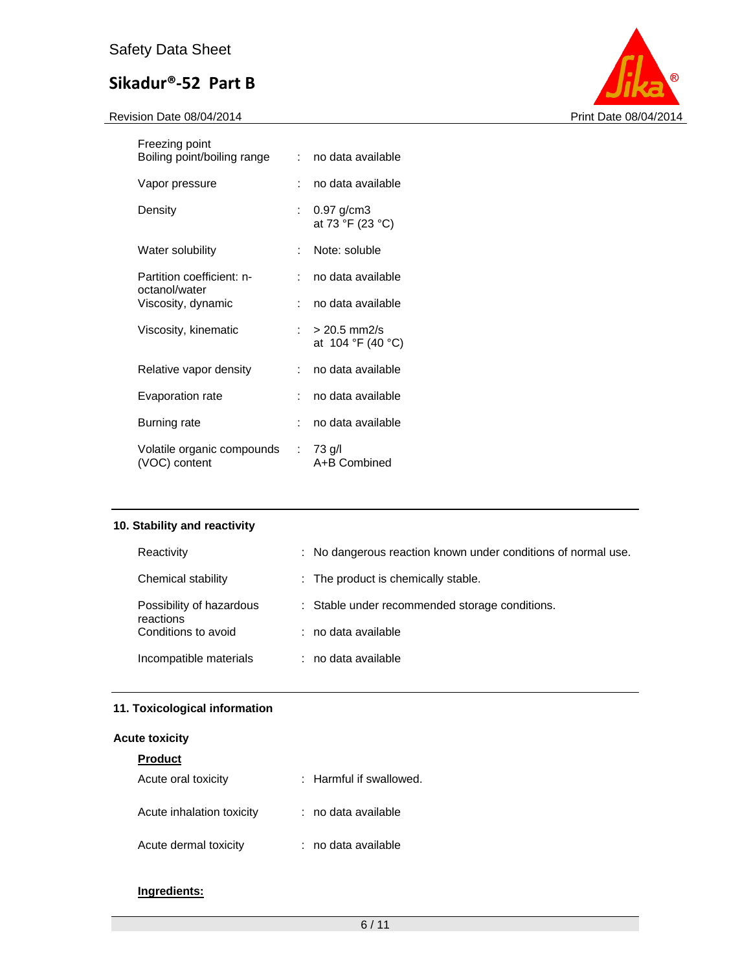Revision Date 08/04/2014 **Print Date 08/04/2014** 



| Freezing point<br>Boiling point/boiling range | t. | no data available                       |
|-----------------------------------------------|----|-----------------------------------------|
| Vapor pressure                                |    | no data available                       |
| Density                                       | ÷. | $0.97$ g/cm3<br>at 73 °F (23 °C)        |
| Water solubility                              |    | Note: soluble                           |
| Partition coefficient: n-<br>octanol/water    |    | no data available                       |
| Viscosity, dynamic                            |    | no data available                       |
| Viscosity, kinematic                          |    | $: > 20.5$ mm2/s<br>at $104 °F (40 °C)$ |
| Relative vapor density                        |    | no data available                       |
| Evaporation rate                              |    | no data available                       |
| Burning rate                                  |    | no data available                       |
| Volatile organic compounds<br>(VOC) content   |    | $: 73$ g/l<br>A+B Combined              |

#### **10. Stability and reactivity**

| Reactivity                            | : No dangerous reaction known under conditions of normal use. |
|---------------------------------------|---------------------------------------------------------------|
| Chemical stability                    | : The product is chemically stable.                           |
| Possibility of hazardous<br>reactions | : Stable under recommended storage conditions.                |
| Conditions to avoid                   | $:$ no data available                                         |
| Incompatible materials                | : no data available                                           |

#### **11. Toxicological information**

#### **Acute toxicity**

| <b>Product</b>            |                         |
|---------------------------|-------------------------|
| Acute oral toxicity       | : Harmful if swallowed. |
| Acute inhalation toxicity | : no data available     |
| Acute dermal toxicity     | : no data available     |

#### **Ingredients:**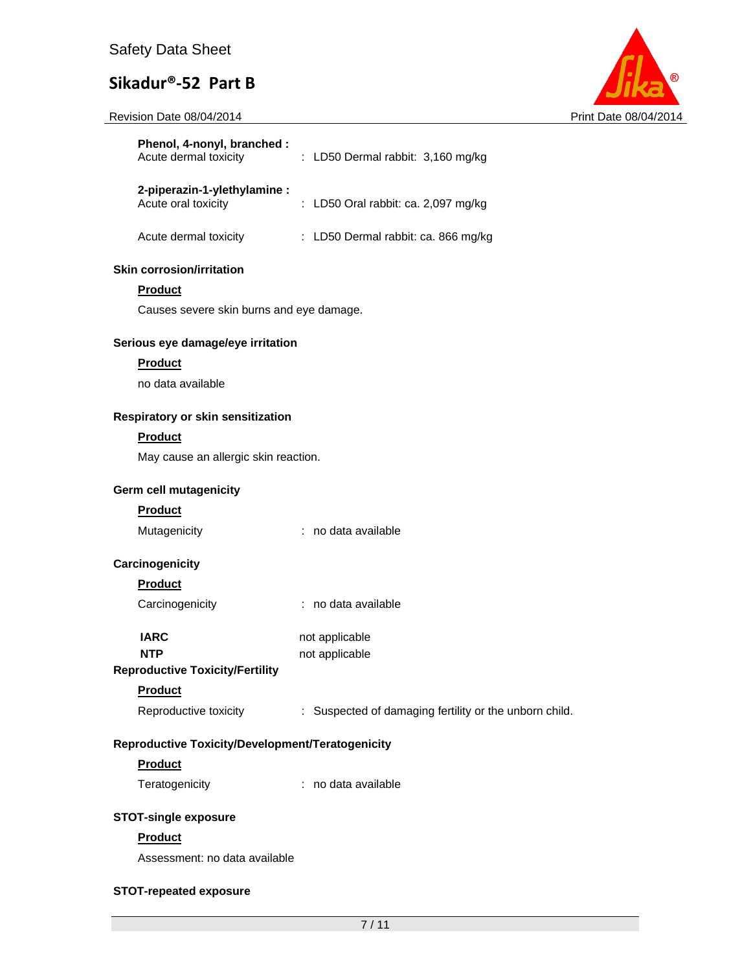Revision Date 08/04/2014 **Print Date 08/04/2014** Print Date 08/04/2014



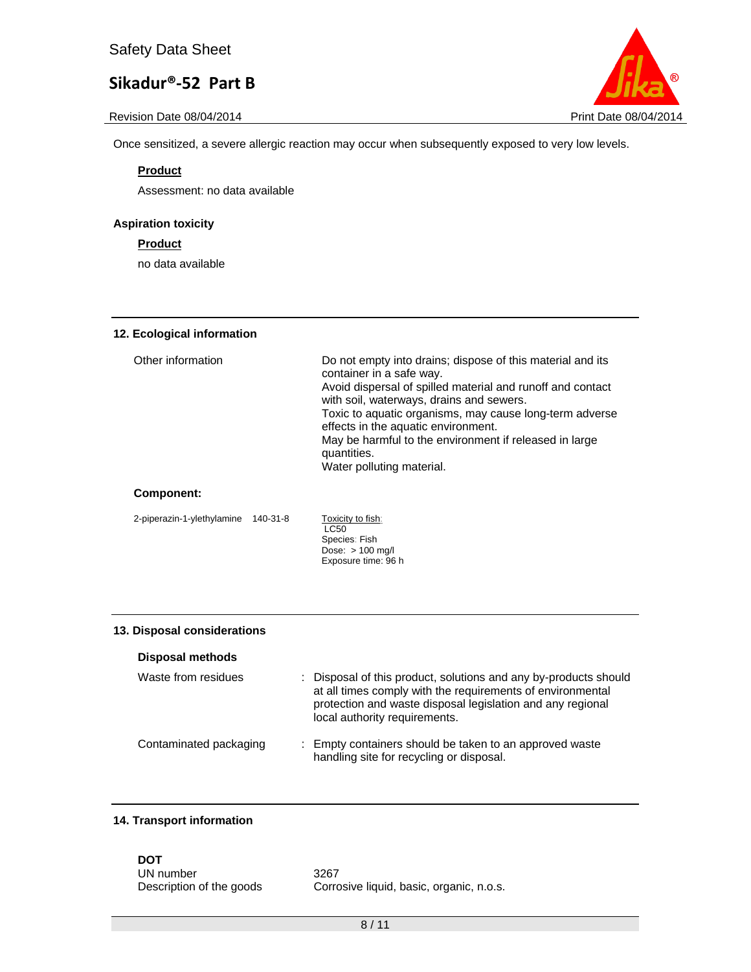Once sensitized, a severe allergic reaction may occur when subsequently exposed to very low levels.

#### **Product**

Assessment: no data available

#### **Aspiration toxicity**

#### **Product**

no data available

#### **12. Ecological information**

| Other information | Do not empty into drains; dispose of this material and its<br>container in a safe way.<br>Avoid dispersal of spilled material and runoff and contact<br>with soil, waterways, drains and sewers.<br>Toxic to aquatic organisms, may cause long-term adverse<br>effects in the aquatic environment.<br>May be harmful to the environment if released in large<br>quantities.<br>Water polluting material. |
|-------------------|----------------------------------------------------------------------------------------------------------------------------------------------------------------------------------------------------------------------------------------------------------------------------------------------------------------------------------------------------------------------------------------------------------|
|                   |                                                                                                                                                                                                                                                                                                                                                                                                          |

#### **Component:**

2-piperazin-1-ylethylamine 140-31-8

Toxicity to fish:<br>LC50 Species: Fish Dose: > 100 mg/l Exposure time: 96 h

#### **13. Disposal considerations**

#### **Disposal methods**

| Waste from residues    | : Disposal of this product, solutions and any by-products should<br>at all times comply with the requirements of environmental<br>protection and waste disposal legislation and any regional<br>local authority requirements. |
|------------------------|-------------------------------------------------------------------------------------------------------------------------------------------------------------------------------------------------------------------------------|
| Contaminated packaging | : Empty containers should be taken to an approved waste<br>handling site for recycling or disposal.                                                                                                                           |

#### **14. Transport information**

# **DOT**

UN number 3267

Description of the goods Corrosive liquid, basic, organic, n.o.s.

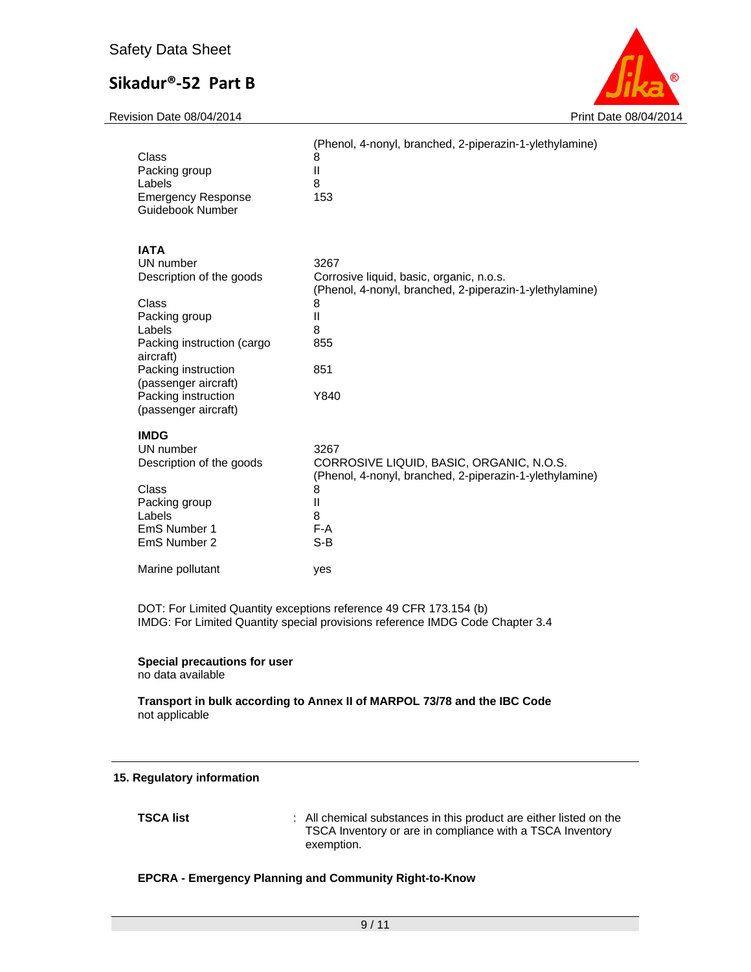Revision Date 08/04/2014 **Print Date 08/04/2014** Print Date 08/04/2014



| Class<br>Packing group<br>Labels<br><b>Emergency Response</b><br>Guidebook Number | (Phenol, 4-nonyl, branched, 2-piperazin-1-ylethylamine)<br>8<br>Ш<br>8<br>153                       |
|-----------------------------------------------------------------------------------|-----------------------------------------------------------------------------------------------------|
| <b>IATA</b>                                                                       |                                                                                                     |
| UN number                                                                         | 3267                                                                                                |
| Description of the goods                                                          | Corrosive liquid, basic, organic, n.o.s.<br>(Phenol, 4-nonyl, branched, 2-piperazin-1-ylethylamine) |
| Class                                                                             | 8                                                                                                   |
| Packing group                                                                     | Ш                                                                                                   |
| Labels                                                                            | 8                                                                                                   |
| Packing instruction (cargo<br>aircraft)                                           | 855                                                                                                 |
| Packing instruction                                                               | 851                                                                                                 |
| (passenger aircraft)                                                              |                                                                                                     |
| Packing instruction                                                               | Y840                                                                                                |
| (passenger aircraft)                                                              |                                                                                                     |
| <b>IMDG</b>                                                                       |                                                                                                     |
| UN number                                                                         | 3267                                                                                                |
| Description of the goods                                                          | CORROSIVE LIQUID, BASIC, ORGANIC, N.O.S.<br>(Phenol, 4-nonyl, branched, 2-piperazin-1-ylethylamine) |
| Class                                                                             | 8                                                                                                   |
| Packing group                                                                     | Ш                                                                                                   |
| Labels                                                                            | 8                                                                                                   |
| EmS Number 1<br>EmS Number 2                                                      | $F-A$<br>$S-B$                                                                                      |
|                                                                                   |                                                                                                     |
| Marine pollutant                                                                  | yes                                                                                                 |

DOT: For Limited Quantity exceptions reference 49 CFR 173.154 (b) IMDG: For Limited Quantity special provisions reference IMDG Code Chapter 3.4

#### **Special precautions for user**

no data available

#### **Transport in bulk according to Annex II of MARPOL 73/78 and the IBC Code**  not applicable

#### **15. Regulatory information**

**TSCA list EXECA list EXECA list EXECA list EXECA list EXECA list EXECA list EXECA list EXECA list EXECA list EXECA list EXECA list EXECA list** TSCA Inventory or are in compliance with a TSCA Inventory exemption.

#### **EPCRA - Emergency Planning and Community Right-to-Know**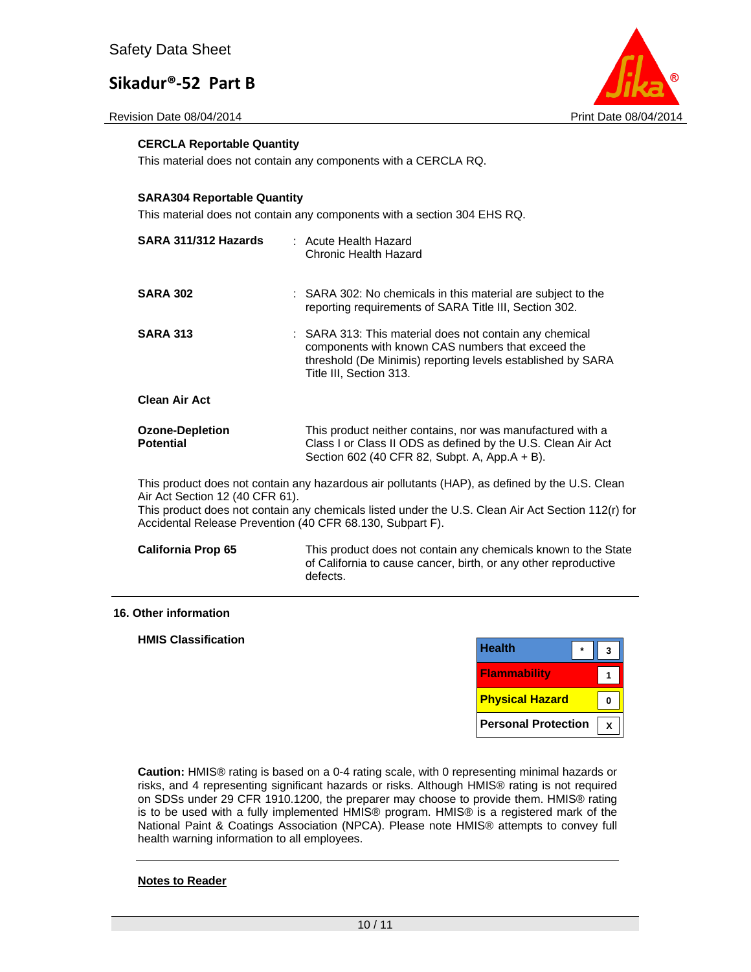Revision Date 08/04/2014 **Print Date 08/04/2014** Print Date 08/04/2014



#### **CERCLA Reportable Quantity**

This material does not contain any components with a CERCLA RQ.

#### **SARA304 Reportable Quantity**

This material does not contain any components with a section 304 EHS RQ.

| SARA 311/312 Hazards                                                                         | : Acute Health Hazard<br>Chronic Health Hazard                                                                                                                                                         |
|----------------------------------------------------------------------------------------------|--------------------------------------------------------------------------------------------------------------------------------------------------------------------------------------------------------|
| <b>SARA 302</b>                                                                              | : SARA 302: No chemicals in this material are subject to the<br>reporting requirements of SARA Title III, Section 302.                                                                                 |
| <b>SARA 313</b>                                                                              | : SARA 313: This material does not contain any chemical<br>components with known CAS numbers that exceed the<br>threshold (De Minimis) reporting levels established by SARA<br>Title III, Section 313. |
| <b>Clean Air Act</b>                                                                         |                                                                                                                                                                                                        |
| <b>Ozone-Depletion</b><br><b>Potential</b>                                                   | This product neither contains, nor was manufactured with a<br>Class I or Class II ODS as defined by the U.S. Clean Air Act<br>Section 602 (40 CFR 82, Subpt. A, App.A + B).                            |
| Air Act Section 12 (40 CFR 61).<br>Accidental Release Prevention (40 CFR 68.130, Subpart F). | This product does not contain any hazardous air pollutants (HAP), as defined by the U.S. Clean<br>This product does not contain any chemicals listed under the U.S. Clean Air Act Section 112(r) for   |
| <b>California Prop 65</b>                                                                    | This product does not contain any chemicals known to the State<br>of California to cause cancer, birth, or any other reproductive<br>defects.                                                          |

#### **16. Other information**

#### **HMIS Classification**

| <b>Health</b>          |  |
|------------------------|--|
| <b>Flammability</b>    |  |
|                        |  |
| <b>Physical Hazard</b> |  |

**Caution:** HMIS® rating is based on a 0-4 rating scale, with 0 representing minimal hazards or risks, and 4 representing significant hazards or risks. Although HMIS® rating is not required on SDSs under 29 CFR 1910.1200, the preparer may choose to provide them. HMIS® rating is to be used with a fully implemented HMIS® program. HMIS® is a registered mark of the National Paint & Coatings Association (NPCA). Please note HMIS® attempts to convey full health warning information to all employees.

#### **Notes to Reader**